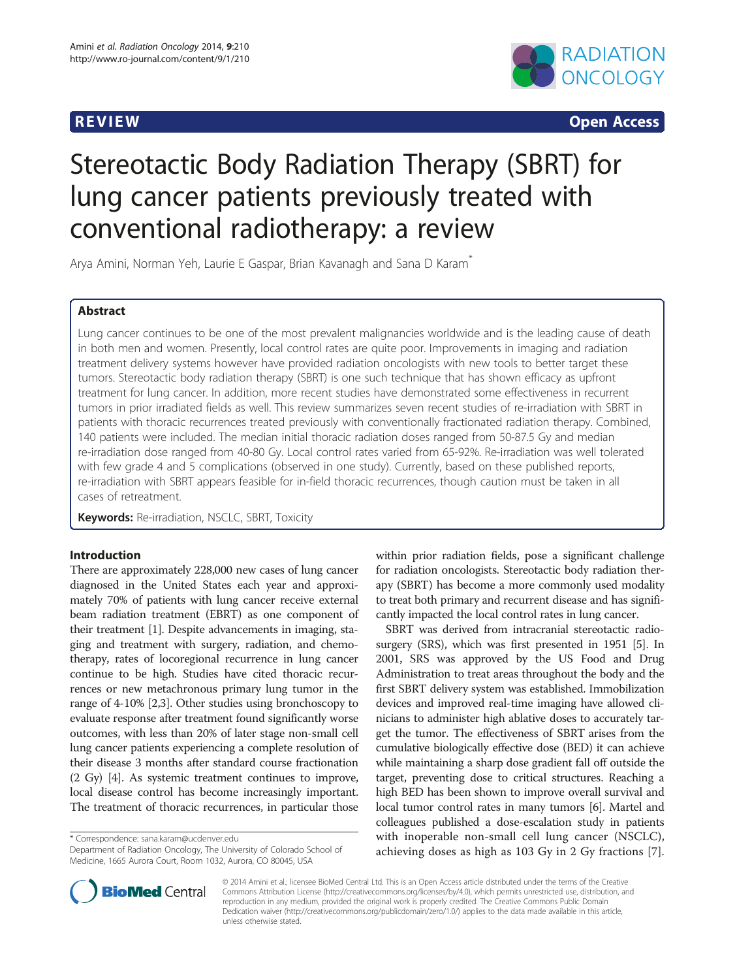

**REVIEW REVIEW CONSTRUCTER ACCESS** 

# Stereotactic Body Radiation Therapy (SBRT) for lung cancer patients previously treated with conventional radiotherapy: a review

Arya Amini, Norman Yeh, Laurie E Gaspar, Brian Kavanagh and Sana D Karam<sup>\*</sup>

# Abstract

Lung cancer continues to be one of the most prevalent malignancies worldwide and is the leading cause of death in both men and women. Presently, local control rates are quite poor. Improvements in imaging and radiation treatment delivery systems however have provided radiation oncologists with new tools to better target these tumors. Stereotactic body radiation therapy (SBRT) is one such technique that has shown efficacy as upfront treatment for lung cancer. In addition, more recent studies have demonstrated some effectiveness in recurrent tumors in prior irradiated fields as well. This review summarizes seven recent studies of re-irradiation with SBRT in patients with thoracic recurrences treated previously with conventionally fractionated radiation therapy. Combined, 140 patients were included. The median initial thoracic radiation doses ranged from 50-87.5 Gy and median re-irradiation dose ranged from 40-80 Gy. Local control rates varied from 65-92%. Re-irradiation was well tolerated with few grade 4 and 5 complications (observed in one study). Currently, based on these published reports, re-irradiation with SBRT appears feasible for in-field thoracic recurrences, though caution must be taken in all cases of retreatment.

Keywords: Re-irradiation, NSCLC, SBRT, Toxicity

# Introduction

There are approximately 228,000 new cases of lung cancer diagnosed in the United States each year and approximately 70% of patients with lung cancer receive external beam radiation treatment (EBRT) as one component of their treatment [\[1](#page-5-0)]. Despite advancements in imaging, staging and treatment with surgery, radiation, and chemotherapy, rates of locoregional recurrence in lung cancer continue to be high. Studies have cited thoracic recurrences or new metachronous primary lung tumor in the range of 4-10% [\[2,3\]](#page-5-0). Other studies using bronchoscopy to evaluate response after treatment found significantly worse outcomes, with less than 20% of later stage non-small cell lung cancer patients experiencing a complete resolution of their disease 3 months after standard course fractionation (2 Gy) [[4](#page-6-0)]. As systemic treatment continues to improve, local disease control has become increasingly important. The treatment of thoracic recurrences, in particular those

\* Correspondence: [sana.karam@ucdenver.edu](mailto:sana.karam@ucdenver.edu)

Department of Radiation Oncology, The University of Colorado School of Medicine, 1665 Aurora Court, Room 1032, Aurora, CO 80045, USA



SBRT was derived from intracranial stereotactic radiosurgery (SRS), which was first presented in 1951 [[5](#page-6-0)]. In 2001, SRS was approved by the US Food and Drug Administration to treat areas throughout the body and the first SBRT delivery system was established. Immobilization devices and improved real-time imaging have allowed clinicians to administer high ablative doses to accurately target the tumor. The effectiveness of SBRT arises from the cumulative biologically effective dose (BED) it can achieve while maintaining a sharp dose gradient fall off outside the target, preventing dose to critical structures. Reaching a high BED has been shown to improve overall survival and local tumor control rates in many tumors [[6](#page-6-0)]. Martel and colleagues published a dose-escalation study in patients with inoperable non-small cell lung cancer (NSCLC), achieving doses as high as 103 Gy in 2 Gy fractions [\[7](#page-6-0)].



© 2014 Amini et al.; licensee BioMed Central Ltd. This is an Open Access article distributed under the terms of the Creative Commons Attribution License [\(http://creativecommons.org/licenses/by/4.0\)](http://creativecommons.org/licenses/by/4.0), which permits unrestricted use, distribution, and reproduction in any medium, provided the original work is properly credited. The Creative Commons Public Domain Dedication waiver [\(http://creativecommons.org/publicdomain/zero/1.0/](http://creativecommons.org/publicdomain/zero/1.0/)) applies to the data made available in this article, unless otherwise stated.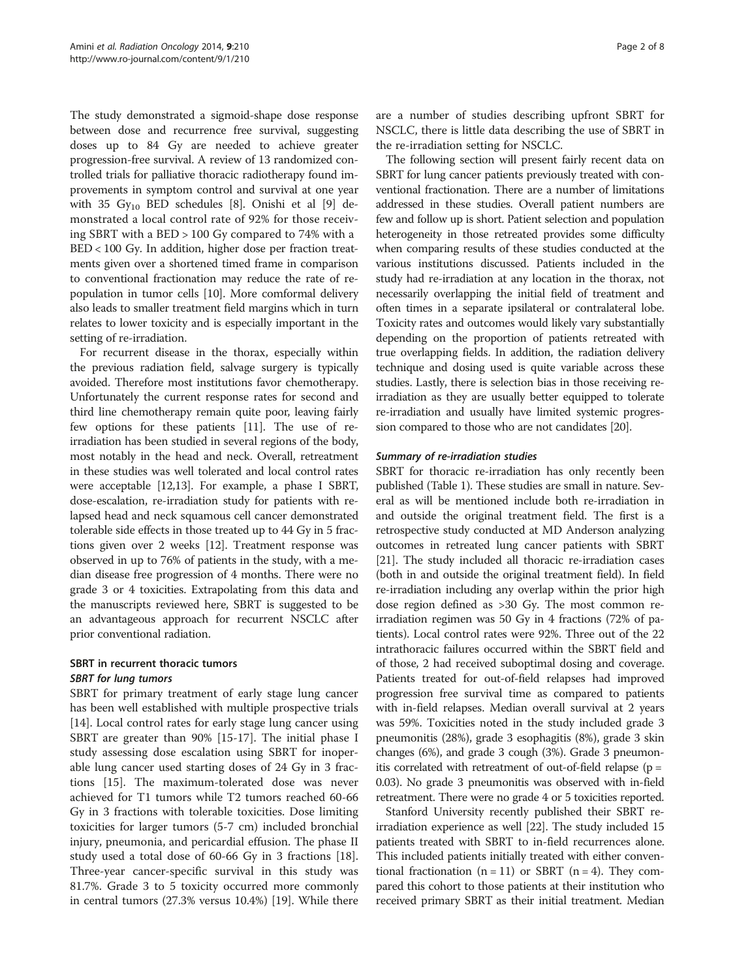The study demonstrated a sigmoid-shape dose response between dose and recurrence free survival, suggesting doses up to 84 Gy are needed to achieve greater progression-free survival. A review of 13 randomized controlled trials for palliative thoracic radiotherapy found improvements in symptom control and survival at one year with 35  $Gy_{10}$  BED schedules [[8\]](#page-6-0). Onishi et al [\[9](#page-6-0)] demonstrated a local control rate of 92% for those receiving SBRT with a BED > 100 Gy compared to 74% with a BED < 100 Gy. In addition, higher dose per fraction treatments given over a shortened timed frame in comparison to conventional fractionation may reduce the rate of repopulation in tumor cells [[10\]](#page-6-0). More comformal delivery also leads to smaller treatment field margins which in turn relates to lower toxicity and is especially important in the setting of re-irradiation.

For recurrent disease in the thorax, especially within the previous radiation field, salvage surgery is typically avoided. Therefore most institutions favor chemotherapy. Unfortunately the current response rates for second and third line chemotherapy remain quite poor, leaving fairly few options for these patients [\[11](#page-6-0)]. The use of reirradiation has been studied in several regions of the body, most notably in the head and neck. Overall, retreatment in these studies was well tolerated and local control rates were acceptable [\[12,13\]](#page-6-0). For example, a phase I SBRT, dose-escalation, re-irradiation study for patients with relapsed head and neck squamous cell cancer demonstrated tolerable side effects in those treated up to 44 Gy in 5 fractions given over 2 weeks [[12](#page-6-0)]. Treatment response was observed in up to 76% of patients in the study, with a median disease free progression of 4 months. There were no grade 3 or 4 toxicities. Extrapolating from this data and the manuscripts reviewed here, SBRT is suggested to be an advantageous approach for recurrent NSCLC after prior conventional radiation.

# SBRT in recurrent thoracic tumors

# SBRT for lung tumors

SBRT for primary treatment of early stage lung cancer has been well established with multiple prospective trials [[14\]](#page-6-0). Local control rates for early stage lung cancer using SBRT are greater than 90% [\[15](#page-6-0)-[17](#page-6-0)]. The initial phase I study assessing dose escalation using SBRT for inoperable lung cancer used starting doses of 24 Gy in 3 fractions [[15\]](#page-6-0). The maximum-tolerated dose was never achieved for T1 tumors while T2 tumors reached 60-66 Gy in 3 fractions with tolerable toxicities. Dose limiting toxicities for larger tumors (5-7 cm) included bronchial injury, pneumonia, and pericardial effusion. The phase II study used a total dose of 60-66 Gy in 3 fractions [\[18](#page-6-0)]. Three-year cancer-specific survival in this study was 81.7%. Grade 3 to 5 toxicity occurred more commonly in central tumors (27.3% versus 10.4%) [\[19](#page-6-0)]. While there

are a number of studies describing upfront SBRT for NSCLC, there is little data describing the use of SBRT in the re-irradiation setting for NSCLC.

The following section will present fairly recent data on SBRT for lung cancer patients previously treated with conventional fractionation. There are a number of limitations addressed in these studies. Overall patient numbers are few and follow up is short. Patient selection and population heterogeneity in those retreated provides some difficulty when comparing results of these studies conducted at the various institutions discussed. Patients included in the study had re-irradiation at any location in the thorax, not necessarily overlapping the initial field of treatment and often times in a separate ipsilateral or contralateral lobe. Toxicity rates and outcomes would likely vary substantially depending on the proportion of patients retreated with true overlapping fields. In addition, the radiation delivery technique and dosing used is quite variable across these studies. Lastly, there is selection bias in those receiving reirradiation as they are usually better equipped to tolerate re-irradiation and usually have limited systemic progression compared to those who are not candidates [[20](#page-6-0)].

### Summary of re-irradiation studies

SBRT for thoracic re-irradiation has only recently been published (Table [1](#page-2-0)). These studies are small in nature. Several as will be mentioned include both re-irradiation in and outside the original treatment field. The first is a retrospective study conducted at MD Anderson analyzing outcomes in retreated lung cancer patients with SBRT [[21](#page-6-0)]. The study included all thoracic re-irradiation cases (both in and outside the original treatment field). In field re-irradiation including any overlap within the prior high dose region defined as >30 Gy. The most common reirradiation regimen was 50 Gy in 4 fractions (72% of patients). Local control rates were 92%. Three out of the 22 intrathoracic failures occurred within the SBRT field and of those, 2 had received suboptimal dosing and coverage. Patients treated for out-of-field relapses had improved progression free survival time as compared to patients with in-field relapses. Median overall survival at 2 years was 59%. Toxicities noted in the study included grade 3 pneumonitis (28%), grade 3 esophagitis (8%), grade 3 skin changes (6%), and grade 3 cough (3%). Grade 3 pneumonitis correlated with retreatment of out-of-field relapse  $(p =$ 0.03). No grade 3 pneumonitis was observed with in-field retreatment. There were no grade 4 or 5 toxicities reported.

Stanford University recently published their SBRT reirradiation experience as well [\[22\]](#page-6-0). The study included 15 patients treated with SBRT to in-field recurrences alone. This included patients initially treated with either conventional fractionation  $(n = 11)$  or SBRT  $(n = 4)$ . They compared this cohort to those patients at their institution who received primary SBRT as their initial treatment. Median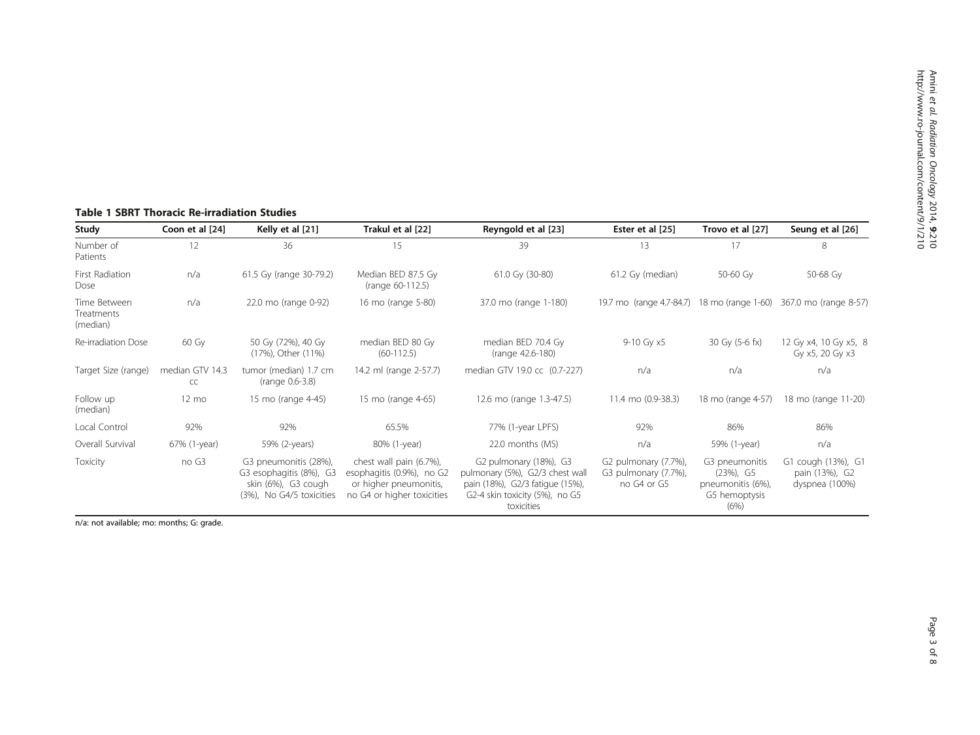# <span id="page-2-0"></span>Table 1 SBRT Thoracic Re-irradiation Studies

| Study                                  | Coon et al [24]       | Kelly et al [21]                                                                                    | Trakul et al [22]                                                                                            | Reyngold et al [23]                                                                                                                          | Ester et al [25]                                            | Trovo et al [27]                                                             | Seung et al [26]                                       |
|----------------------------------------|-----------------------|-----------------------------------------------------------------------------------------------------|--------------------------------------------------------------------------------------------------------------|----------------------------------------------------------------------------------------------------------------------------------------------|-------------------------------------------------------------|------------------------------------------------------------------------------|--------------------------------------------------------|
| Number of<br>Patients                  | 12                    | 36                                                                                                  | 15                                                                                                           | 39                                                                                                                                           | 13                                                          | 17                                                                           | 8                                                      |
| First Radiation<br>Dose                | n/a                   | 61.5 Gy (range 30-79.2)                                                                             | Median BED 87.5 Gy<br>(range 60-112.5)                                                                       | 61.0 Gy (30-80)                                                                                                                              | 61.2 Gy (median)                                            | 50-60 Gy                                                                     | 50-68 Gy                                               |
| Time Between<br>Treatments<br>(median) | n/a                   | 22.0 mo (range 0-92)                                                                                | 16 mo (range 5-80)                                                                                           | 37.0 mo (range 1-180)                                                                                                                        | 19.7 mo (range 4.7-84.7)                                    | 18 mo (range 1-60)                                                           | 367.0 mo (range 8-57)                                  |
| Re-irradiation Dose                    | 60 Gy                 | 50 Gy (72%), 40 Gy<br>(17%), Other (11%)                                                            | median BED 80 Gy<br>$(60-112.5)$                                                                             | median BED 70.4 Gy<br>(range 42.6-180)                                                                                                       | $9-10$ Gy $x5$                                              | 30 Gy (5-6 fx)                                                               | 12 Gy x4, 10 Gy x5, 8<br>Gy x5, 20 Gy x3               |
| Target Size (range)                    | median GTV 14.3<br>CC | tumor (median) 1.7 cm<br>(range 0.6-3.8)                                                            | 14.2 ml (range 2-57.7)                                                                                       | median GTV 19.0 cc (0.7-227)                                                                                                                 | n/a                                                         | n/a                                                                          | n/a                                                    |
| Follow up<br>(median)                  | $12 \text{ mo}$       | 15 mo (range 4-45)                                                                                  | 15 mo (range 4-65)                                                                                           | 12.6 mo (range 1.3-47.5)                                                                                                                     | 11.4 mo (0.9-38.3)                                          | 18 mo (range 4-57)                                                           | 18 mo (range 11-20)                                    |
| Local Control                          | 92%                   | 92%                                                                                                 | 65.5%                                                                                                        | 77% (1-year LPFS)                                                                                                                            | 92%                                                         | 86%                                                                          | 86%                                                    |
| Overall Survival                       | 67% (1-year)          | 59% (2-years)                                                                                       | 80% (1-year)                                                                                                 | 22.0 months (MS)                                                                                                                             | n/a                                                         | 59% (1-year)                                                                 | n/a                                                    |
| <b>Toxicity</b>                        | no G3                 | G3 pneumonitis (28%),<br>G3 esophagitis (8%), G3<br>skin (6%), G3 cough<br>(3%), No G4/5 toxicities | chest wall pain (6.7%),<br>esophagitis (0.9%), no G2<br>or higher pneumonitis,<br>no G4 or higher toxicities | G2 pulmonary (18%), G3<br>pulmonary (5%), G2/3 chest wall<br>pain (18%), G2/3 fatigue (15%),<br>G2-4 skin toxicity (5%), no G5<br>toxicities | G2 pulmonary (7.7%),<br>G3 pulmonary (7.7%),<br>no G4 or G5 | G3 pneumonitis<br>$(23%)$ , G5<br>pneumonitis (6%),<br>G5 hemoptysis<br>(6%) | G1 cough (13%), G1<br>pain (13%), G2<br>dyspnea (100%) |

n/a: not available; mo: months; G: grade.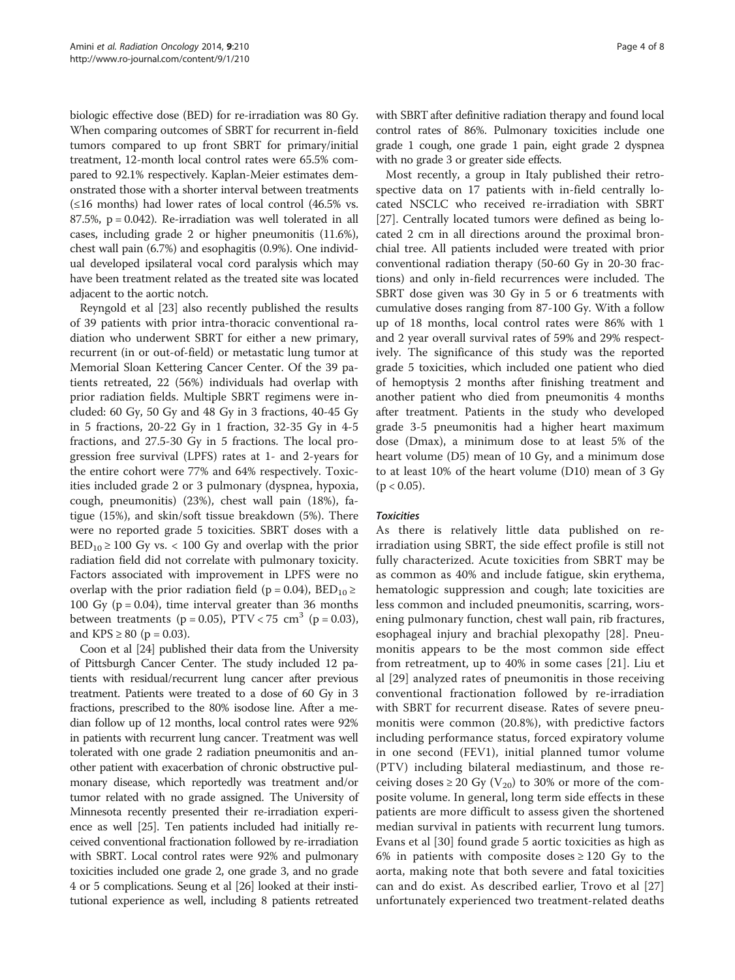biologic effective dose (BED) for re-irradiation was 80 Gy. When comparing outcomes of SBRT for recurrent in-field tumors compared to up front SBRT for primary/initial treatment, 12-month local control rates were 65.5% compared to 92.1% respectively. Kaplan-Meier estimates demonstrated those with a shorter interval between treatments  $(\leq 16$  months) had lower rates of local control (46.5% vs. 87.5%,  $p = 0.042$ ). Re-irradiation was well tolerated in all cases, including grade 2 or higher pneumonitis (11.6%), chest wall pain (6.7%) and esophagitis (0.9%). One individual developed ipsilateral vocal cord paralysis which may have been treatment related as the treated site was located adjacent to the aortic notch.

Reyngold et al [\[23](#page-6-0)] also recently published the results of 39 patients with prior intra-thoracic conventional radiation who underwent SBRT for either a new primary, recurrent (in or out-of-field) or metastatic lung tumor at Memorial Sloan Kettering Cancer Center. Of the 39 patients retreated, 22 (56%) individuals had overlap with prior radiation fields. Multiple SBRT regimens were included: 60 Gy, 50 Gy and 48 Gy in 3 fractions, 40-45 Gy in 5 fractions, 20-22 Gy in 1 fraction, 32-35 Gy in 4-5 fractions, and 27.5-30 Gy in 5 fractions. The local progression free survival (LPFS) rates at 1- and 2-years for the entire cohort were 77% and 64% respectively. Toxicities included grade 2 or 3 pulmonary (dyspnea, hypoxia, cough, pneumonitis) (23%), chest wall pain (18%), fatigue (15%), and skin/soft tissue breakdown (5%). There were no reported grade 5 toxicities. SBRT doses with a  $BED_{10} \geq 100$  Gy vs. < 100 Gy and overlap with the prior radiation field did not correlate with pulmonary toxicity. Factors associated with improvement in LPFS were no overlap with the prior radiation field (p = 0.04), BED<sub>10</sub> ≥ 100 Gy ( $p = 0.04$ ), time interval greater than 36 months between treatments ( $p = 0.05$ ),  $PTV < 75$  cm<sup>3</sup> ( $p = 0.03$ ), and KPS  $\geq 80$  (p = 0.03).

Coon et al [\[24\]](#page-6-0) published their data from the University of Pittsburgh Cancer Center. The study included 12 patients with residual/recurrent lung cancer after previous treatment. Patients were treated to a dose of 60 Gy in 3 fractions, prescribed to the 80% isodose line. After a median follow up of 12 months, local control rates were 92% in patients with recurrent lung cancer. Treatment was well tolerated with one grade 2 radiation pneumonitis and another patient with exacerbation of chronic obstructive pulmonary disease, which reportedly was treatment and/or tumor related with no grade assigned. The University of Minnesota recently presented their re-irradiation experience as well [[25\]](#page-6-0). Ten patients included had initially received conventional fractionation followed by re-irradiation with SBRT. Local control rates were 92% and pulmonary toxicities included one grade 2, one grade 3, and no grade 4 or 5 complications. Seung et al [[26](#page-6-0)] looked at their institutional experience as well, including 8 patients retreated with SBRT after definitive radiation therapy and found local control rates of 86%. Pulmonary toxicities include one grade 1 cough, one grade 1 pain, eight grade 2 dyspnea with no grade 3 or greater side effects.

Most recently, a group in Italy published their retrospective data on 17 patients with in-field centrally located NSCLC who received re-irradiation with SBRT [[27\]](#page-6-0). Centrally located tumors were defined as being located 2 cm in all directions around the proximal bronchial tree. All patients included were treated with prior conventional radiation therapy (50-60 Gy in 20-30 fractions) and only in-field recurrences were included. The SBRT dose given was 30 Gy in 5 or 6 treatments with cumulative doses ranging from 87-100 Gy. With a follow up of 18 months, local control rates were 86% with 1 and 2 year overall survival rates of 59% and 29% respectively. The significance of this study was the reported grade 5 toxicities, which included one patient who died of hemoptysis 2 months after finishing treatment and another patient who died from pneumonitis 4 months after treatment. Patients in the study who developed grade 3-5 pneumonitis had a higher heart maximum dose (Dmax), a minimum dose to at least 5% of the heart volume (D5) mean of 10 Gy, and a minimum dose to at least 10% of the heart volume (D10) mean of 3 Gy  $(p < 0.05)$ .

#### **Toxicities**

As there is relatively little data published on reirradiation using SBRT, the side effect profile is still not fully characterized. Acute toxicities from SBRT may be as common as 40% and include fatigue, skin erythema, hematologic suppression and cough; late toxicities are less common and included pneumonitis, scarring, worsening pulmonary function, chest wall pain, rib fractures, esophageal injury and brachial plexopathy [[28](#page-6-0)]. Pneumonitis appears to be the most common side effect from retreatment, up to 40% in some cases [[21\]](#page-6-0). Liu et al [\[29](#page-6-0)] analyzed rates of pneumonitis in those receiving conventional fractionation followed by re-irradiation with SBRT for recurrent disease. Rates of severe pneumonitis were common (20.8%), with predictive factors including performance status, forced expiratory volume in one second (FEV1), initial planned tumor volume (PTV) including bilateral mediastinum, and those receiving doses  $\geq 20$  Gy (V<sub>20</sub>) to 30% or more of the composite volume. In general, long term side effects in these patients are more difficult to assess given the shortened median survival in patients with recurrent lung tumors. Evans et al [[30\]](#page-6-0) found grade 5 aortic toxicities as high as 6% in patients with composite doses  $\geq$  120 Gy to the aorta, making note that both severe and fatal toxicities can and do exist. As described earlier, Trovo et al [\[27](#page-6-0)] unfortunately experienced two treatment-related deaths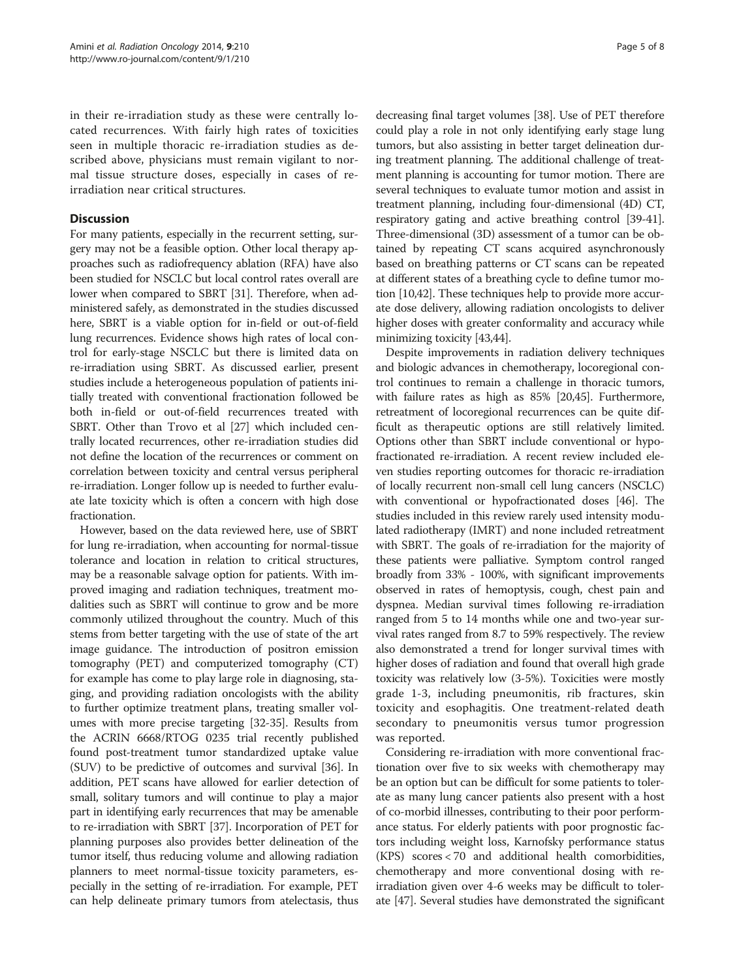in their re-irradiation study as these were centrally located recurrences. With fairly high rates of toxicities seen in multiple thoracic re-irradiation studies as described above, physicians must remain vigilant to normal tissue structure doses, especially in cases of reirradiation near critical structures.

# **Discussion**

For many patients, especially in the recurrent setting, surgery may not be a feasible option. Other local therapy approaches such as radiofrequency ablation (RFA) have also been studied for NSCLC but local control rates overall are lower when compared to SBRT [\[31\]](#page-6-0). Therefore, when administered safely, as demonstrated in the studies discussed here, SBRT is a viable option for in-field or out-of-field lung recurrences. Evidence shows high rates of local control for early-stage NSCLC but there is limited data on re-irradiation using SBRT. As discussed earlier, present studies include a heterogeneous population of patients initially treated with conventional fractionation followed be both in-field or out-of-field recurrences treated with SBRT. Other than Trovo et al [[27](#page-6-0)] which included centrally located recurrences, other re-irradiation studies did not define the location of the recurrences or comment on correlation between toxicity and central versus peripheral re-irradiation. Longer follow up is needed to further evaluate late toxicity which is often a concern with high dose fractionation.

However, based on the data reviewed here, use of SBRT for lung re-irradiation, when accounting for normal-tissue tolerance and location in relation to critical structures, may be a reasonable salvage option for patients. With improved imaging and radiation techniques, treatment modalities such as SBRT will continue to grow and be more commonly utilized throughout the country. Much of this stems from better targeting with the use of state of the art image guidance. The introduction of positron emission tomography (PET) and computerized tomography (CT) for example has come to play large role in diagnosing, staging, and providing radiation oncologists with the ability to further optimize treatment plans, treating smaller volumes with more precise targeting [[32](#page-6-0)-[35](#page-6-0)]. Results from the ACRIN 6668/RTOG 0235 trial recently published found post-treatment tumor standardized uptake value (SUV) to be predictive of outcomes and survival [\[36](#page-6-0)]. In addition, PET scans have allowed for earlier detection of small, solitary tumors and will continue to play a major part in identifying early recurrences that may be amenable to re-irradiation with SBRT [\[37](#page-6-0)]. Incorporation of PET for planning purposes also provides better delineation of the tumor itself, thus reducing volume and allowing radiation planners to meet normal-tissue toxicity parameters, especially in the setting of re-irradiation. For example, PET can help delineate primary tumors from atelectasis, thus

decreasing final target volumes [[38](#page-6-0)]. Use of PET therefore could play a role in not only identifying early stage lung tumors, but also assisting in better target delineation during treatment planning. The additional challenge of treatment planning is accounting for tumor motion. There are several techniques to evaluate tumor motion and assist in treatment planning, including four-dimensional (4D) CT, respiratory gating and active breathing control [[39](#page-6-0)-[41](#page-6-0)]. Three-dimensional (3D) assessment of a tumor can be obtained by repeating CT scans acquired asynchronously based on breathing patterns or CT scans can be repeated at different states of a breathing cycle to define tumor motion [\[10,42](#page-6-0)]. These techniques help to provide more accurate dose delivery, allowing radiation oncologists to deliver higher doses with greater conformality and accuracy while minimizing toxicity [[43](#page-6-0),[44](#page-7-0)].

Despite improvements in radiation delivery techniques and biologic advances in chemotherapy, locoregional control continues to remain a challenge in thoracic tumors, with failure rates as high as 85% [\[20,](#page-6-0)[45](#page-7-0)]. Furthermore, retreatment of locoregional recurrences can be quite difficult as therapeutic options are still relatively limited. Options other than SBRT include conventional or hypofractionated re-irradiation. A recent review included eleven studies reporting outcomes for thoracic re-irradiation of locally recurrent non-small cell lung cancers (NSCLC) with conventional or hypofractionated doses [\[46\]](#page-7-0). The studies included in this review rarely used intensity modulated radiotherapy (IMRT) and none included retreatment with SBRT. The goals of re-irradiation for the majority of these patients were palliative. Symptom control ranged broadly from 33% - 100%, with significant improvements observed in rates of hemoptysis, cough, chest pain and dyspnea. Median survival times following re-irradiation ranged from 5 to 14 months while one and two-year survival rates ranged from 8.7 to 59% respectively. The review also demonstrated a trend for longer survival times with higher doses of radiation and found that overall high grade toxicity was relatively low (3-5%). Toxicities were mostly grade 1-3, including pneumonitis, rib fractures, skin toxicity and esophagitis. One treatment-related death secondary to pneumonitis versus tumor progression was reported.

Considering re-irradiation with more conventional fractionation over five to six weeks with chemotherapy may be an option but can be difficult for some patients to tolerate as many lung cancer patients also present with a host of co-morbid illnesses, contributing to their poor performance status. For elderly patients with poor prognostic factors including weight loss, Karnofsky performance status (KPS) scores < 70 and additional health comorbidities, chemotherapy and more conventional dosing with reirradiation given over 4-6 weeks may be difficult to tolerate [[47](#page-7-0)]. Several studies have demonstrated the significant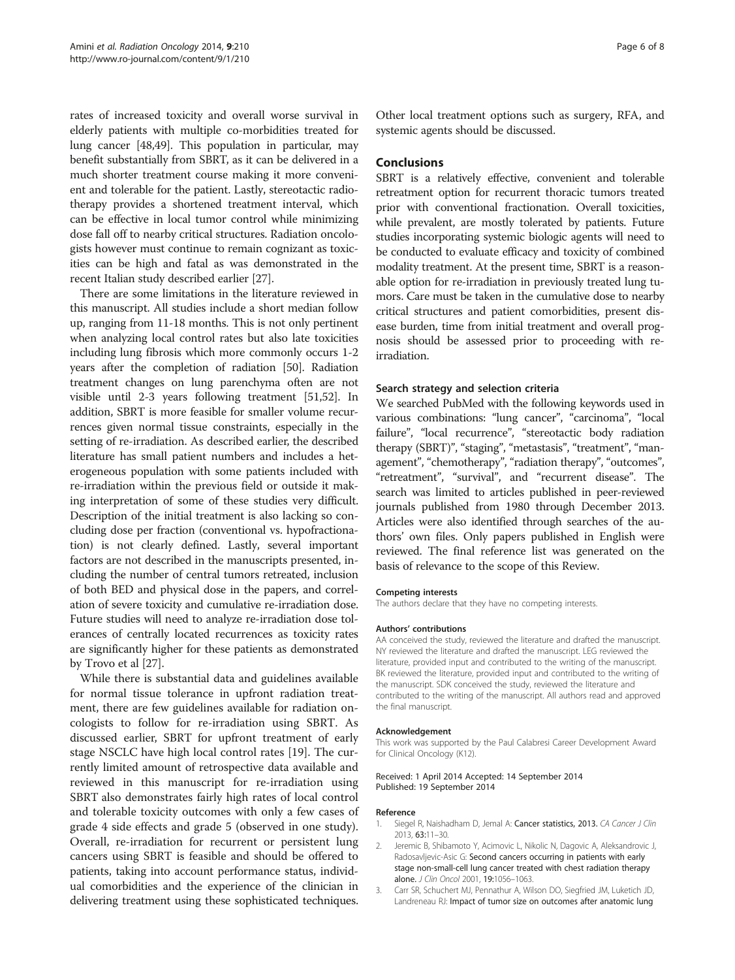<span id="page-5-0"></span>rates of increased toxicity and overall worse survival in elderly patients with multiple co-morbidities treated for lung cancer [[48,49\]](#page-7-0). This population in particular, may benefit substantially from SBRT, as it can be delivered in a much shorter treatment course making it more convenient and tolerable for the patient. Lastly, stereotactic radiotherapy provides a shortened treatment interval, which can be effective in local tumor control while minimizing dose fall off to nearby critical structures. Radiation oncologists however must continue to remain cognizant as toxicities can be high and fatal as was demonstrated in the recent Italian study described earlier [\[27\]](#page-6-0).

There are some limitations in the literature reviewed in this manuscript. All studies include a short median follow up, ranging from 11-18 months. This is not only pertinent when analyzing local control rates but also late toxicities including lung fibrosis which more commonly occurs 1-2 years after the completion of radiation [\[50\]](#page-7-0). Radiation treatment changes on lung parenchyma often are not visible until 2-3 years following treatment [\[51,52\]](#page-7-0). In addition, SBRT is more feasible for smaller volume recurrences given normal tissue constraints, especially in the setting of re-irradiation. As described earlier, the described literature has small patient numbers and includes a heterogeneous population with some patients included with re-irradiation within the previous field or outside it making interpretation of some of these studies very difficult. Description of the initial treatment is also lacking so concluding dose per fraction (conventional vs. hypofractionation) is not clearly defined. Lastly, several important factors are not described in the manuscripts presented, including the number of central tumors retreated, inclusion of both BED and physical dose in the papers, and correlation of severe toxicity and cumulative re-irradiation dose. Future studies will need to analyze re-irradiation dose tolerances of centrally located recurrences as toxicity rates are significantly higher for these patients as demonstrated by Trovo et al [\[27\]](#page-6-0).

While there is substantial data and guidelines available for normal tissue tolerance in upfront radiation treatment, there are few guidelines available for radiation oncologists to follow for re-irradiation using SBRT. As discussed earlier, SBRT for upfront treatment of early stage NSCLC have high local control rates [[19](#page-6-0)]. The currently limited amount of retrospective data available and reviewed in this manuscript for re-irradiation using SBRT also demonstrates fairly high rates of local control and tolerable toxicity outcomes with only a few cases of grade 4 side effects and grade 5 (observed in one study). Overall, re-irradiation for recurrent or persistent lung cancers using SBRT is feasible and should be offered to patients, taking into account performance status, individual comorbidities and the experience of the clinician in delivering treatment using these sophisticated techniques.

Other local treatment options such as surgery, RFA, and systemic agents should be discussed.

#### Conclusions

SBRT is a relatively effective, convenient and tolerable retreatment option for recurrent thoracic tumors treated prior with conventional fractionation. Overall toxicities, while prevalent, are mostly tolerated by patients. Future studies incorporating systemic biologic agents will need to be conducted to evaluate efficacy and toxicity of combined modality treatment. At the present time, SBRT is a reasonable option for re-irradiation in previously treated lung tumors. Care must be taken in the cumulative dose to nearby critical structures and patient comorbidities, present disease burden, time from initial treatment and overall prognosis should be assessed prior to proceeding with reirradiation.

### Search strategy and selection criteria

We searched PubMed with the following keywords used in various combinations: "lung cancer", "carcinoma", "local failure", "local recurrence", "stereotactic body radiation therapy (SBRT)", "staging", "metastasis", "treatment", "management", "chemotherapy", "radiation therapy", "outcomes", "retreatment", "survival", and "recurrent disease". The search was limited to articles published in peer-reviewed journals published from 1980 through December 2013. Articles were also identified through searches of the authors' own files. Only papers published in English were reviewed. The final reference list was generated on the basis of relevance to the scope of this Review.

#### Competing interests

The authors declare that they have no competing interests.

#### Authors' contributions

AA conceived the study, reviewed the literature and drafted the manuscript. NY reviewed the literature and drafted the manuscript. LEG reviewed the literature, provided input and contributed to the writing of the manuscript. BK reviewed the literature, provided input and contributed to the writing of the manuscript. SDK conceived the study, reviewed the literature and contributed to the writing of the manuscript. All authors read and approved the final manuscript.

#### Acknowledgement

This work was supported by the Paul Calabresi Career Development Award for Clinical Oncology (K12).

#### Received: 1 April 2014 Accepted: 14 September 2014 Published: 19 September 2014

#### Reference

- 1. Siegel R, Naishadham D, Jemal A: Cancer statistics, 2013. CA Cancer J Clin 2013, 63:11–30.
- 2. Jeremic B, Shibamoto Y, Acimovic L, Nikolic N, Dagovic A, Aleksandrovic J, Radosavljevic-Asic G: Second cancers occurring in patients with early stage non-small-cell lung cancer treated with chest radiation therapy alone. J Clin Oncol 2001, 19:1056–1063.
- 3. Carr SR, Schuchert MJ, Pennathur A, Wilson DO, Siegfried JM, Luketich JD, Landreneau RJ: Impact of tumor size on outcomes after anatomic lung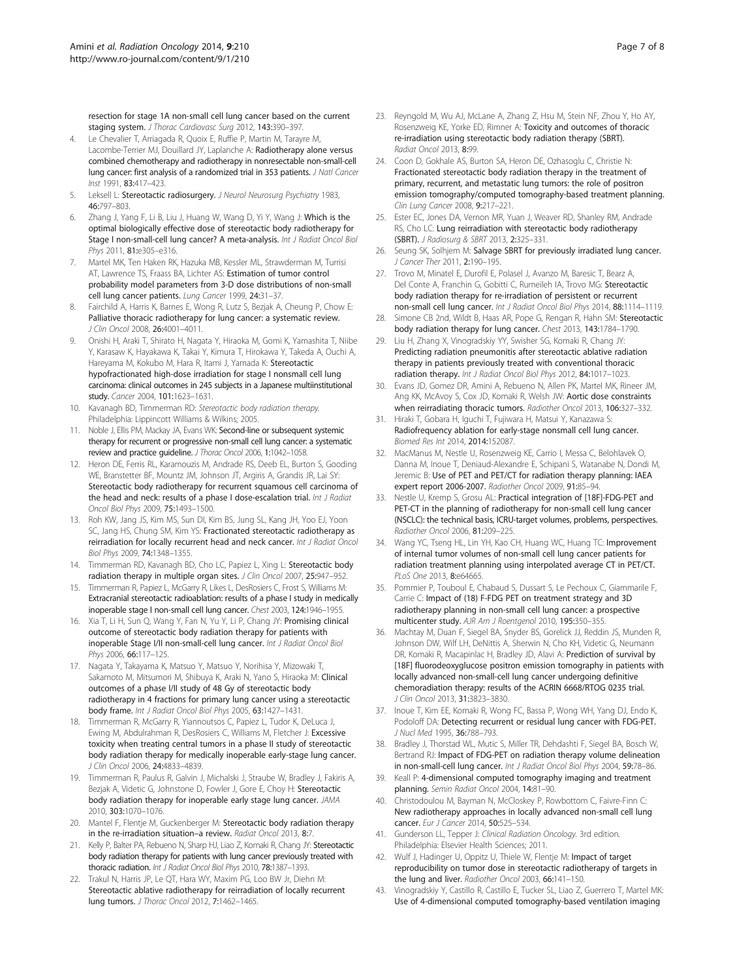<span id="page-6-0"></span>resection for stage 1A non-small cell lung cancer based on the current staging system. J Thorac Cardiovasc Surg 2012, 143:390–397.

- 4. Le Chevalier T, Arriagada R, Quoix E, Ruffie P, Martin M, Tarayre M, Lacombe-Terrier MJ, Douillard JY, Laplanche A: Radiotherapy alone versus combined chemotherapy and radiotherapy in nonresectable non-small-cell lung cancer: first analysis of a randomized trial in 353 patients. J Natl Cancer Inst 1991, 83:417–423.
- 5. Leksell L: Stereotactic radiosurgery. J Neurol Neurosurg Psychiatry 1983, 46:797–803.
- 6. Zhang J, Yang F, Li B, Liu J, Huang W, Wang D, Yi Y, Wang J: Which is the optimal biologically effective dose of stereotactic body radiotherapy for Stage I non-small-cell lung cancer? A meta-analysis. Int J Radiat Oncol Biol Phys 2011, 81:e305–e316.
- 7. Martel MK, Ten Haken RK, Hazuka MB, Kessler ML, Strawderman M, Turrisi AT, Lawrence TS, Fraass BA, Lichter AS: Estimation of tumor control probability model parameters from 3-D dose distributions of non-small cell lung cancer patients. Lung Cancer 1999, 24:31-37.
- Fairchild A, Harris K, Barnes E, Wong R, Lutz S, Bezjak A, Cheung P, Chow E: Palliative thoracic radiotherapy for lung cancer: a systematic review. J Clin Oncol 2008, 26:4001–4011.
- 9. Onishi H, Araki T, Shirato H, Nagata Y, Hiraoka M, Gomi K, Yamashita T, Niibe Y, Karasaw K, Hayakawa K, Takai Y, Kimura T, Hirokawa Y, Takeda A, Ouchi A, Hareyama M, Kokubo M, Hara R, Itami J, Yamada K: Stereotactic hypofractionated high-dose irradiation for stage I nonsmall cell lung carcinoma: clinical outcomes in 245 subjects in a Japanese multiinstitutional study. Cancer 2004, 101:1623–1631.
- 10. Kavanagh BD, Timmerman RD: Stereotactic body radiation therapy. Philadelphia: Lippincott Williams & Wilkins; 2005.
- 11. Noble J, Ellis PM, Mackay JA, Evans WK: Second-line or subsequent systemic therapy for recurrent or progressive non-small cell lung cancer: a systematic review and practice guideline. J Thorac Oncol 2006, 1:1042–1058.
- 12. Heron DE, Ferris RL, Karamouzis M, Andrade RS, Deeb EL, Burton S, Gooding WE, Branstetter BF, Mountz JM, Johnson JT, Argiris A, Grandis JR, Lai SY: Stereotactic body radiotherapy for recurrent squamous cell carcinoma of the head and neck: results of a phase I dose-escalation trial. Int J Radiat Oncol Biol Phys 2009, 75:1493–1500.
- 13. Roh KW, Jang JS, Kim MS, Sun DI, Kim BS, Jung SL, Kang JH, Yoo EJ, Yoon SC, Jang HS, Chung SM, Kim YS: Fractionated stereotactic radiotherapy as reirradiation for locally recurrent head and neck cancer. Int J Radiat Oncol Biol Phys 2009, 74:1348–1355.
- 14. Timmerman RD, Kavanagh BD, Cho LC, Papiez L, Xing L: Stereotactic body radiation therapy in multiple organ sites. J Clin Oncol 2007, 25:947-952.
- 15. Timmerman R, Papiez L, McGarry R, Likes L, DesRosiers C, Frost S, Williams M: Extracranial stereotactic radioablation: results of a phase I study in medically inoperable stage I non-small cell lung cancer. Chest 2003, 124:1946–1955.
- 16. Xia T, Li H, Sun Q, Wang Y, Fan N, Yu Y, Li P, Chang JY: Promising clinical outcome of stereotactic body radiation therapy for patients with inoperable Stage I/II non-small-cell lung cancer. Int J Radiat Oncol Biol Phys 2006, 66:117-125.
- 17. Nagata Y, Takayama K, Matsuo Y, Matsuo Y, Norihisa Y, Mizowaki T, Sakamoto M, Mitsumori M, Shibuya K, Araki N, Yano S, Hiraoka M: Clinical outcomes of a phase I/II study of 48 Gy of stereotactic body radiotherapy in 4 fractions for primary lung cancer using a stereotactic body frame. Int J Radiat Oncol Biol Phys 2005, 63:1427–1431.
- 18. Timmerman R, McGarry R, Yiannoutsos C, Papiez L, Tudor K, DeLuca J, Ewing M, Abdulrahman R, DesRosiers C, Williams M, Fletcher J: Excessive toxicity when treating central tumors in a phase II study of stereotactic body radiation therapy for medically inoperable early-stage lung cancer. J Clin Oncol 2006, 24:4833–4839.
- 19. Timmerman R, Paulus R, Galvin J, Michalski J, Straube W, Bradley J, Fakiris A, Bezjak A, Videtic G, Johnstone D, Fowler J, Gore E, Choy H: Stereotactic body radiation therapy for inoperable early stage lung cancer. JAMA 2010, 303:1070–1076.
- 20. Mantel F, Flentje M, Guckenberger M: Stereotactic body radiation therapy in the re-irradiation situation–a review. Radiat Oncol 2013, 8:7.
- 21. Kelly P, Balter PA, Rebueno N, Sharp HJ, Liao Z, Komaki R, Chang JY: Stereotactic body radiation therapy for patients with lung cancer previously treated with thoracic radiation. Int J Radiat Oncol Biol Phys 2010, 78:1387-1393.
- 22. Trakul N, Harris JP, Le QT, Hara WY, Maxim PG, Loo BW Jr, Diehn M: Stereotactic ablative radiotherapy for reirradiation of locally recurrent lung tumors. J Thorac Oncol 2012, 7:1462–1465.
- 23. Reyngold M, Wu AJ, McLane A, Zhang Z, Hsu M, Stein NF, Zhou Y, Ho AY, Rosenzweig KE, Yorke ED, Rimner A: Toxicity and outcomes of thoracic re-irradiation using stereotactic body radiation therapy (SBRT). Radiat Oncol 2013, 8:99.
- 24. Coon D, Gokhale AS, Burton SA, Heron DE, Ozhasoglu C, Christie N: Fractionated stereotactic body radiation therapy in the treatment of primary, recurrent, and metastatic lung tumors: the role of positron emission tomography/computed tomography-based treatment planning. Clin Lung Cancer 2008, 9:217–221.
- 25. Ester EC, Jones DA, Vernon MR, Yuan J, Weaver RD, Shanley RM, Andrade RS, Cho LC: Lung reirradiation with stereotactic body radiotherapy (SBRT). J Radiosurg & SBRT 2013, 2:325–331.
- 26. Seung SK, Solhjem M: Salvage SBRT for previously irradiated lung cancer. J Cancer Ther 2011, 2:190–195.
- 27. Trovo M, Minatel E, Durofil E, Polasel J, Avanzo M, Baresic T, Bearz A Del Conte A, Franchin G, Gobitti C, Rumeileh IA, Trovo MG: Stereotactic body radiation therapy for re-irradiation of persistent or recurrent non-small cell lung cancer. Int J Radiat Oncol Biol Phys 2014, 88:1114-1119.
- 28. Simone CB 2nd, Wildt B, Haas AR, Pope G, Rengan R, Hahn SM: Stereotactic body radiation therapy for lung cancer. Chest 2013, 143:1784–1790.
- 29. Liu H, Zhang X, Vinogradskiy YY, Swisher SG, Komaki R, Chang JY: Predicting radiation pneumonitis after stereotactic ablative radiation therapy in patients previously treated with conventional thoracic radiation therapy. Int J Radiat Oncol Biol Phys 2012, 84:1017–1023.
- 30. Evans JD, Gomez DR, Amini A, Rebueno N, Allen PK, Martel MK, Rineer JM, Ang KK, McAvoy S, Cox JD, Komaki R, Welsh JW: Aortic dose constraints when reirradiating thoracic tumors. Radiother Oncol 2013, 106:327–332.
- 31. Hiraki T, Gobara H, Iguchi T, Fujiwara H, Matsui Y, Kanazawa S: Radiofrequency ablation for early-stage nonsmall cell lung cancer. Biomed Res Int 2014, 2014:152087.
- 32. MacManus M, Nestle U, Rosenzweig KE, Carrio I, Messa C, Belohlavek O, Danna M, Inoue T, Deniaud-Alexandre E, Schipani S, Watanabe N, Dondi M, Jeremic B: Use of PET and PET/CT for radiation therapy planning: IAEA expert report 2006-2007. Radiother Oncol 2009, 91:85–94.
- 33. Nestle U, Kremp S, Grosu AL: Practical integration of [18F]-FDG-PET and PET-CT in the planning of radiotherapy for non-small cell lung cancer (NSCLC): the technical basis, ICRU-target volumes, problems, perspectives. Radiother Oncol 2006, 81:209–225.
- 34. Wang YC, Tseng HL, Lin YH, Kao CH, Huang WC, Huang TC: Improvement of internal tumor volumes of non-small cell lung cancer patients for radiation treatment planning using interpolated average CT in PET/CT. PLoS One 2013, 8:e64665.
- 35. Pommier P, Touboul E, Chabaud S, Dussart S, Le Pechoux C, Giammarile F, Carrie C: Impact of (18) F-FDG PET on treatment strategy and 3D radiotherapy planning in non-small cell lung cancer: a prospective multicenter study. AJR Am J Roentgenol 2010, 195:350–355.
- 36. Machtay M, Duan F, Siegel BA, Snyder BS, Gorelick JJ, Reddin JS, Munden R, Johnson DW, Wilf LH, DeNittis A, Sherwin N, Cho KH, Videtic G, Neumann DR, Komaki R, Macapinlac H, Bradley JD, Alavi A: Prediction of survival by [18F] fluorodeoxyglucose positron emission tomography in patients with locally advanced non-small-cell lung cancer undergoing definitive chemoradiation therapy: results of the ACRIN 6668/RTOG 0235 trial. J Clin Oncol 2013, 31:3823–3830.
- 37. Inoue T, Kim EE, Komaki R, Wong FC, Bassa P, Wong WH, Yang DJ, Endo K, Podoloff DA: Detecting recurrent or residual lung cancer with FDG-PET. J Nucl Med 1995, 36:788–793.
- 38. Bradley J, Thorstad WL, Mutic S, Miller TR, Dehdashti F, Siegel BA, Bosch W, Bertrand RJ: Impact of FDG-PET on radiation therapy volume delineation in non-small-cell lung cancer. Int J Radiat Oncol Biol Phys 2004, 59:78-86.
- 39. Keall P: 4-dimensional computed tomography imaging and treatment planning. Semin Radiat Oncol 2004, 14:81–90.
- 40. Christodoulou M, Bayman N, McCloskey P, Rowbottom C, Faivre-Finn C: New radiotherapy approaches in locally advanced non-small cell lung cancer. Eur J Cancer 2014, 50:525–534.
- 41. Gunderson LL, Tepper J: Clinical Radiation Oncology. 3rd edition. Philadelphia: Elsevier Health Sciences; 2011.
- 42. Wulf J, Hadinger U, Oppitz U, Thiele W, Flentje M: Impact of target reproducibility on tumor dose in stereotactic radiotherapy of targets in the lung and liver. Radiother Oncol 2003, 66:141-150.
- 43. Vinogradskiy Y, Castillo R, Castillo E, Tucker SL, Liao Z, Guerrero T, Martel MK: Use of 4-dimensional computed tomography-based ventilation imaging